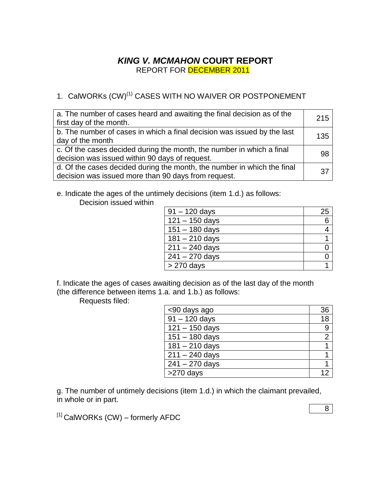## *KING V. MCMAHON* **COURT REPORT** REPORT FOR DECEMBER 2011

# 1. CalWORKs (CW)<sup>(1)</sup> CASES WITH NO WAIVER OR POSTPONEMENT

| a. The number of cases heard and awaiting the final decision as of the<br>first day of the month.                              | 215 |
|--------------------------------------------------------------------------------------------------------------------------------|-----|
| b. The number of cases in which a final decision was issued by the last<br>day of the month                                    | 135 |
| c. Of the cases decided during the month, the number in which a final<br>decision was issued within 90 days of request.        | .98 |
| d. Of the cases decided during the month, the number in which the final<br>decision was issued more than 90 days from request. | 37  |

e. Indicate the ages of the untimely decisions (item 1.d.) as follows: Decision issued within

| $91 - 120$ days  | 25 |
|------------------|----|
| $121 - 150$ days | 6  |
| $151 - 180$ days |    |
| $181 - 210$ days |    |
| $211 - 240$ days |    |
| $241 - 270$ days |    |
| $>270$ days      |    |

f. Indicate the ages of cases awaiting decision as of the last day of the month (the difference between items 1.a. and 1.b.) as follows:

Requests filed:

| <90 days ago     | 36             |
|------------------|----------------|
| $91 - 120$ days  | 18             |
| $121 - 150$ days | 9              |
| $151 - 180$ days | $\overline{2}$ |
| $181 - 210$ days |                |
| $211 - 240$ days |                |
| $241 - 270$ days |                |
| >270 days        |                |

g. The number of untimely decisions (item 1.d.) in which the claimant prevailed, in whole or in part.

 $[1]$  CalWORKs (CW) – formerly AFDC

8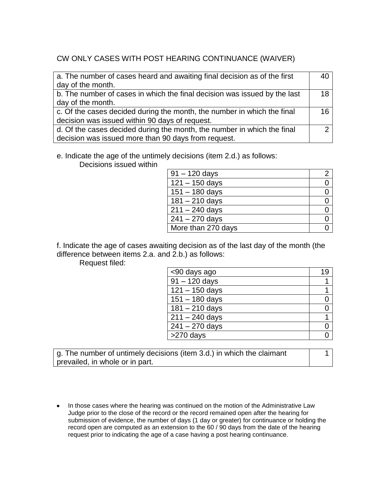## CW ONLY CASES WITH POST HEARING CONTINUANCE (WAIVER)

| a. The number of cases heard and awaiting final decision as of the first  |    |
|---------------------------------------------------------------------------|----|
| day of the month.                                                         |    |
| b. The number of cases in which the final decision was issued by the last | 18 |
| day of the month.                                                         |    |
| c. Of the cases decided during the month, the number in which the final   | 16 |
| decision was issued within 90 days of request.                            |    |
| d. Of the cases decided during the month, the number in which the final   |    |
| decision was issued more than 90 days from request.                       |    |

#### e. Indicate the age of the untimely decisions (item 2.d.) as follows:

Decisions issued within

| $91 - 120$ days    |  |
|--------------------|--|
| $121 - 150$ days   |  |
| $151 - 180$ days   |  |
| $181 - 210$ days   |  |
| $211 - 240$ days   |  |
| $241 - 270$ days   |  |
| More than 270 days |  |

f. Indicate the age of cases awaiting decision as of the last day of the month (the difference between items 2.a. and 2.b.) as follows:

Request filed:

| <90 days ago              |  |
|---------------------------|--|
| $\frac{1}{91} - 120$ days |  |
| $121 - 150$ days          |  |
| $151 - 180$ days          |  |
| $181 - 210$ days          |  |
| $211 - 240$ days          |  |
| $241 - 270$ days          |  |
| $>270$ days               |  |

g. The number of untimely decisions (item 3.d.) in which the claimant prevailed, in whole or in part.

1

• In those cases where the hearing was continued on the motion of the Administrative Law Judge prior to the close of the record or the record remained open after the hearing for submission of evidence, the number of days (1 day or greater) for continuance or holding the record open are computed as an extension to the 60 / 90 days from the date of the hearing request prior to indicating the age of a case having a post hearing continuance.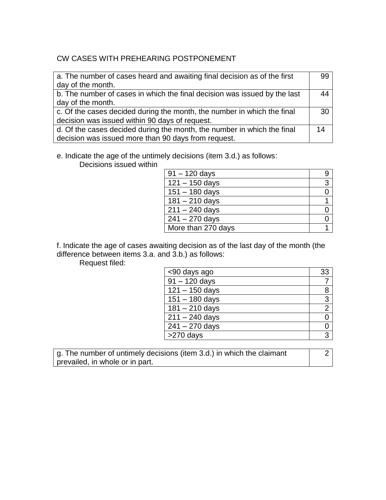## CW CASES WITH PREHEARING POSTPONEMENT

| a. The number of cases heard and awaiting final decision as of the first  | 99 |
|---------------------------------------------------------------------------|----|
| day of the month.                                                         |    |
| b. The number of cases in which the final decision was issued by the last |    |
| day of the month.                                                         |    |
| c. Of the cases decided during the month, the number in which the final   | 30 |
| decision was issued within 90 days of request.                            |    |
| d. Of the cases decided during the month, the number in which the final   | 14 |
| decision was issued more than 90 days from request.                       |    |

#### e. Indicate the age of the untimely decisions (item 3.d.) as follows:

Decisions issued within

| $91 - 120$ days    |   |
|--------------------|---|
| $121 - 150$ days   | 3 |
| $151 - 180$ days   |   |
| $181 - 210$ days   |   |
| $211 - 240$ days   |   |
| $241 - 270$ days   |   |
| More than 270 days |   |

f. Indicate the age of cases awaiting decision as of the last day of the month (the difference between items 3.a. and 3.b.) as follows:

Request filed:

| <90 days ago     | 33             |
|------------------|----------------|
| $91 - 120$ days  |                |
| $121 - 150$ days | 8              |
| $151 - 180$ days | 3              |
| $181 - 210$ days | $\overline{2}$ |
| $211 - 240$ days | ი              |
| $241 - 270$ days |                |
| >270 days        | ঽ              |

g. The number of untimely decisions (item 3.d.) in which the claimant prevailed, in whole or in part.

2